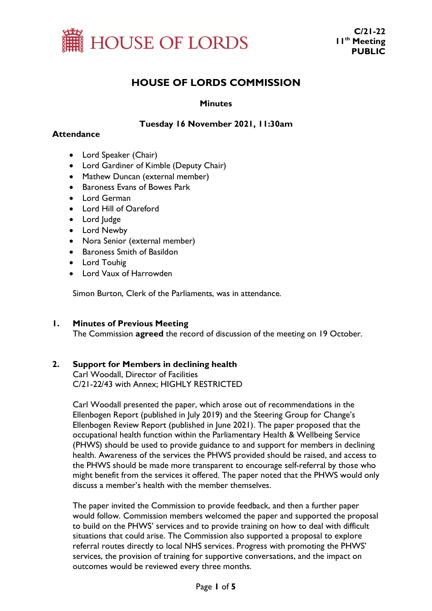

# **HOUSE OF LORDS COMMISSION**

## **Minutes**

# **Tuesday 16 November 2021, 11:30am**

## **Attendance**

- Lord Speaker (Chair)
- Lord Gardiner of Kimble (Deputy Chair)
- Mathew Duncan (external member)
- Baroness Evans of Bowes Park
- Lord German
- Lord Hill of Oareford
- Lord Judge
- Lord Newby
- Nora Senior (external member)
- Baroness Smith of Basildon
- Lord Touhig
- Lord Vaux of Harrowden

Simon Burton, Clerk of the Parliaments, was in attendance.

## **1. Minutes of Previous Meeting**

The Commission **agreed** the record of discussion of the meeting on 19 October.

## **2. Support for Members in declining health**

Carl Woodall, Director of Facilities C/21-22/43 with Annex; HIGHLY RESTRICTED

Carl Woodall presented the paper, which arose out of recommendations in the Ellenbogen Report (published in July 2019) and the Steering Group for Change's Ellenbogen Review Report (published in June 2021). The paper proposed that the occupational health function within the Parliamentary Health & Wellbeing Service (PHWS) should be used to provide guidance to and support for members in declining health. Awareness of the services the PHWS provided should be raised, and access to the PHWS should be made more transparent to encourage self-referral by those who might benefit from the services it offered. The paper noted that the PHWS would only discuss a member's health with the member themselves.

The paper invited the Commission to provide feedback, and then a further paper would follow. Commission members welcomed the paper and supported the proposal to build on the PHWS' services and to provide training on how to deal with difficult situations that could arise. The Commission also supported a proposal to explore referral routes directly to local NHS services. Progress with promoting the PHWS' services, the provision of training for supportive conversations, and the impact on outcomes would be reviewed every three months.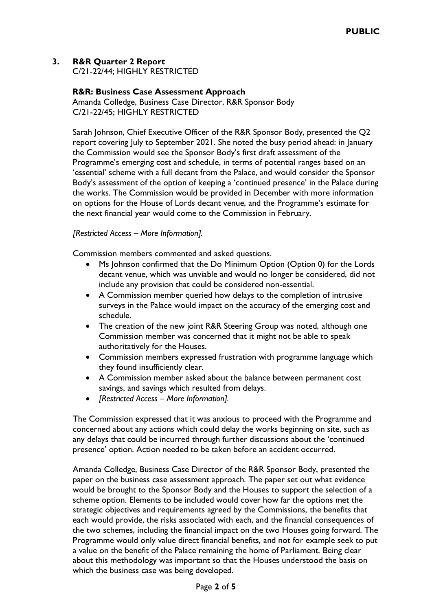# **3. R&R Quarter 2 Report**

C/21-22/44; HIGHLY RESTRICTED

# **R&R: Business Case Assessment Approach**

Amanda Colledge, Business Case Director, R&R Sponsor Body C/21-22/45; HIGHLY RESTRICTED

Sarah Johnson, Chief Executive Officer of the R&R Sponsor Body, presented the Q2 report covering July to September 2021. She noted the busy period ahead: in January the Commission would see the Sponsor Body's first draft assessment of the Programme's emerging cost and schedule, in terms of potential ranges based on an 'essential' scheme with a full decant from the Palace, and would consider the Sponsor Body's assessment of the option of keeping a 'continued presence' in the Palace during the works. The Commission would be provided in December with more information on options for the House of Lords decant venue, and the Programme's estimate for the next financial year would come to the Commission in February.

# *[Restricted Access – More Information].*

Commission members commented and asked questions.

- Ms Johnson confirmed that the Do Minimum Option (Option 0) for the Lords decant venue, which was unviable and would no longer be considered, did not include any provision that could be considered non-essential.
- A Commission member queried how delays to the completion of intrusive surveys in the Palace would impact on the accuracy of the emerging cost and schedule.
- The creation of the new joint R&R Steering Group was noted, although one Commission member was concerned that it might not be able to speak authoritatively for the Houses.
- Commission members expressed frustration with programme language which they found insufficiently clear.
- A Commission member asked about the balance between permanent cost savings, and savings which resulted from delays.
- *[Restricted Access – More Information].*

The Commission expressed that it was anxious to proceed with the Programme and concerned about any actions which could delay the works beginning on site, such as any delays that could be incurred through further discussions about the 'continued presence' option. Action needed to be taken before an accident occurred.

Amanda Colledge, Business Case Director of the R&R Sponsor Body, presented the paper on the business case assessment approach. The paper set out what evidence would be brought to the Sponsor Body and the Houses to support the selection of a scheme option. Elements to be included would cover how far the options met the strategic objectives and requirements agreed by the Commissions, the benefits that each would provide, the risks associated with each, and the financial consequences of the two schemes, including the financial impact on the two Houses going forward. The Programme would only value direct financial benefits, and not for example seek to put a value on the benefit of the Palace remaining the home of Parliament. Being clear about this methodology was important so that the Houses understood the basis on which the business case was being developed.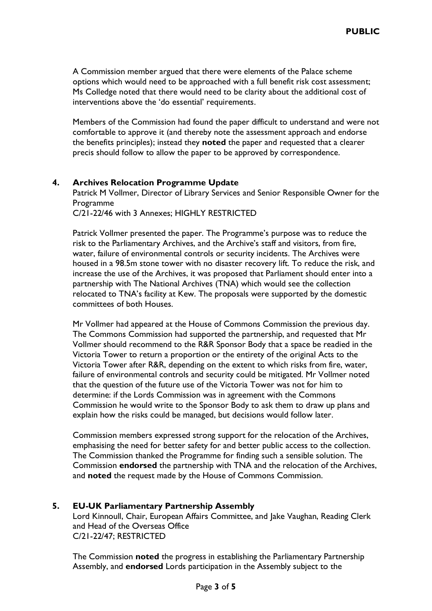A Commission member argued that there were elements of the Palace scheme options which would need to be approached with a full benefit risk cost assessment; Ms Colledge noted that there would need to be clarity about the additional cost of interventions above the 'do essential' requirements.

Members of the Commission had found the paper difficult to understand and were not comfortable to approve it (and thereby note the assessment approach and endorse the benefits principles); instead they **noted** the paper and requested that a clearer precis should follow to allow the paper to be approved by correspondence.

#### **4. Archives Relocation Programme Update**

Patrick M Vollmer, Director of Library Services and Senior Responsible Owner for the Programme

C/21-22/46 with 3 Annexes; HIGHLY RESTRICTED

Patrick Vollmer presented the paper. The Programme's purpose was to reduce the risk to the Parliamentary Archives, and the Archive's staff and visitors, from fire, water, failure of environmental controls or security incidents. The Archives were housed in a 98.5m stone tower with no disaster recovery lift. To reduce the risk, and increase the use of the Archives, it was proposed that Parliament should enter into a partnership with The National Archives (TNA) which would see the collection relocated to TNA's facility at Kew. The proposals were supported by the domestic committees of both Houses.

Mr Vollmer had appeared at the House of Commons Commission the previous day. The Commons Commission had supported the partnership, and requested that Mr Vollmer should recommend to the R&R Sponsor Body that a space be readied in the Victoria Tower to return a proportion or the entirety of the original Acts to the Victoria Tower after R&R, depending on the extent to which risks from fire, water, failure of environmental controls and security could be mitigated. Mr Vollmer noted that the question of the future use of the Victoria Tower was not for him to determine: if the Lords Commission was in agreement with the Commons Commission he would write to the Sponsor Body to ask them to draw up plans and explain how the risks could be managed, but decisions would follow later.

Commission members expressed strong support for the relocation of the Archives, emphasising the need for better safety for and better public access to the collection. The Commission thanked the Programme for finding such a sensible solution. The Commission **endorsed** the partnership with TNA and the relocation of the Archives, and **noted** the request made by the House of Commons Commission.

## **5. EU-UK Parliamentary Partnership Assembly**

Lord Kinnoull, Chair, European Affairs Committee, and Jake Vaughan, Reading Clerk and Head of the Overseas Office C/21-22/47; RESTRICTED

The Commission **noted** the progress in establishing the Parliamentary Partnership Assembly, and **endorsed** Lords participation in the Assembly subject to the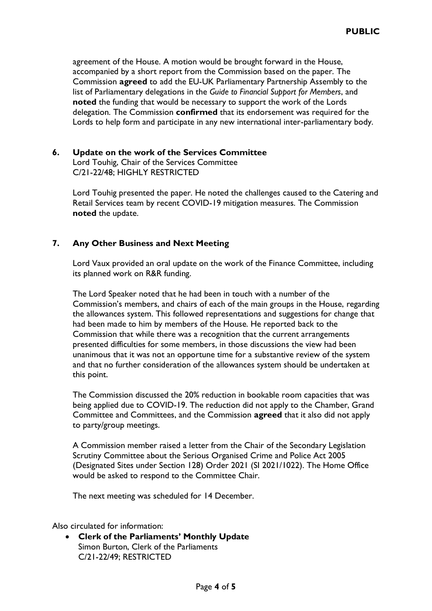agreement of the House. A motion would be brought forward in the House, accompanied by a short report from the Commission based on the paper. The Commission **agreed** to add the EU-UK Parliamentary Partnership Assembly to the list of Parliamentary delegations in the *Guide to Financial Support for Members*, and **noted** the funding that would be necessary to support the work of the Lords delegation. The Commission **confirmed** that its endorsement was required for the Lords to help form and participate in any new international inter-parliamentary body.

# **6. Update on the work of the Services Committee**

Lord Touhig, Chair of the Services Committee C/21-22/48; HIGHLY RESTRICTED

Lord Touhig presented the paper. He noted the challenges caused to the Catering and Retail Services team by recent COVID-19 mitigation measures. The Commission **noted** the update.

# **7. Any Other Business and Next Meeting**

Lord Vaux provided an oral update on the work of the Finance Committee, including its planned work on R&R funding.

The Lord Speaker noted that he had been in touch with a number of the Commission's members, and chairs of each of the main groups in the House, regarding the allowances system. This followed representations and suggestions for change that had been made to him by members of the House. He reported back to the Commission that while there was a recognition that the current arrangements presented difficulties for some members, in those discussions the view had been unanimous that it was not an opportune time for a substantive review of the system and that no further consideration of the allowances system should be undertaken at this point.

The Commission discussed the 20% reduction in bookable room capacities that was being applied due to COVID-19. The reduction did not apply to the Chamber, Grand Committee and Committees, and the Commission **agreed** that it also did not apply to party/group meetings.

A Commission member raised a letter from the Chair of the Secondary Legislation Scrutiny Committee about the Serious Organised Crime and Police Act 2005 (Designated Sites under Section 128) Order 2021 (SI 2021/1022). The Home Office would be asked to respond to the Committee Chair.

The next meeting was scheduled for 14 December.

Also circulated for information:

• **Clerk of the Parliaments' Monthly Update** Simon Burton, Clerk of the Parliaments C/21-22/49; RESTRICTED